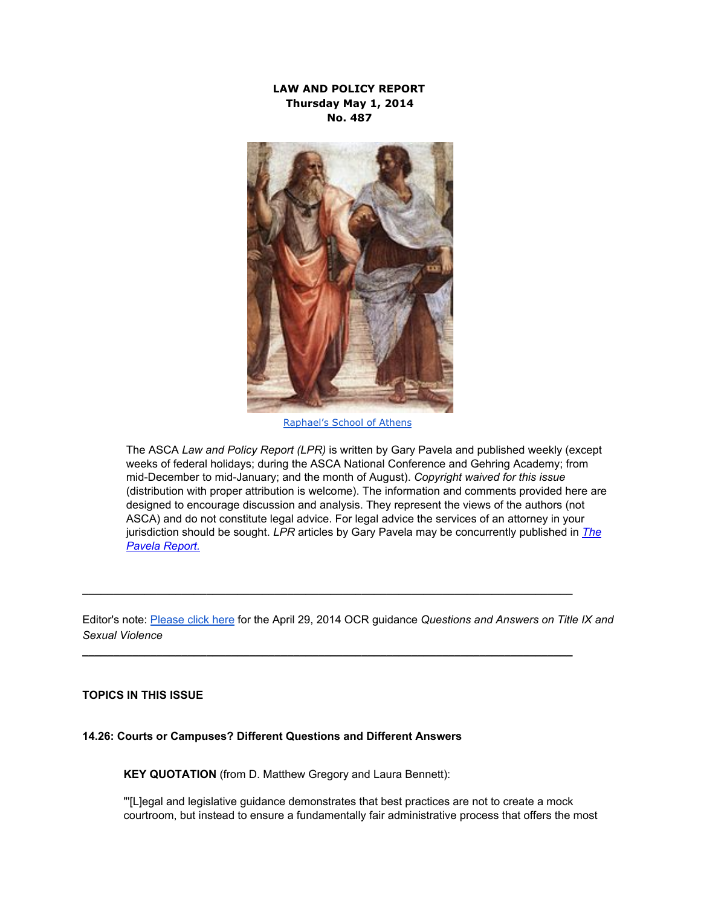# **LAW AND POLICY REPORT Thursday May 1, 2014 No. 487**



[Raphael's](http://www.google.com/url?q=http%3A%2F%2Fen.wikipedia.org%2Fwiki%2FThe_School_of_Athens&sa=D&sntz=1&usg=AFQjCNEWlfolSIoL4HYRFzeLGvD1yRqyGg) School of Athens

The ASCA *Law and Policy Report (LPR)* is written by Gary Pavela and published weekly (except weeks of federal holidays; during the ASCA National Conference and Gehring Academy; from mid-December to mid-January; and the month of August). Copyright waived for this issue (distribution with proper attribution is welcome). The information and comments provided here are designed to encourage discussion and analysis. They represent the views of the authors (not ASCA) and do not constitute legal advice. For legal advice the services of an attorney in your jurisdiction should be sought. *LPR* articles by Gary Pavela may be concurrently published in *[The](http://www.google.com/url?q=http%3A%2F%2Fcollegepubs.com%2Findex.php&sa=D&sntz=1&usg=AFQjCNGKqHDSCszEQ5B4jBsV-wTRaeZfRw) Pavela [Report.](http://www.google.com/url?q=http%3A%2F%2Fcollegepubs.com%2Findex.php&sa=D&sntz=1&usg=AFQjCNGKqHDSCszEQ5B4jBsV-wTRaeZfRw)*

Editor's note: [Please](http://www.google.com/url?q=http%3A%2F%2Fwww2.ed.gov%2Fabout%2Foffices%2Flist%2Focr%2Fdocs%2Fqa-201404-title-ix.pdf&sa=D&sntz=1&usg=AFQjCNGIUfWyIW1c5bcnv49wiSJRIkD9tw) click here for the April 29, 2014 OCR guidance *Questions and Answers on Title IX and Sexual Violence*

**\_\_\_\_\_\_\_\_\_\_\_\_\_\_\_\_\_\_\_\_\_\_\_\_\_\_\_\_\_\_\_\_\_\_\_\_\_\_\_\_\_\_\_\_\_\_\_\_\_\_\_\_\_\_\_\_\_\_\_\_\_\_\_\_\_\_\_\_\_\_\_\_\_\_\_\_\_\_\_**

**\_\_\_\_\_\_\_\_\_\_\_\_\_\_\_\_\_\_\_\_\_\_\_\_\_\_\_\_\_\_\_\_\_\_\_\_\_\_\_\_\_\_\_\_\_\_\_\_\_\_\_\_\_\_\_\_\_\_\_\_\_\_\_\_\_\_\_\_\_\_\_\_\_\_\_\_\_\_\_**

### **TOPICS IN THIS ISSUE**

### **14.26: Courts or Campuses? Different Questions and Different Answers**

**KEY QUOTATION** (from D. Matthew Gregory and Laura Bennett):

"'[L]egal and legislative guidance demonstrates that best practices are not to create a mock courtroom, but instead to ensure a fundamentally fair administrative process that offers the most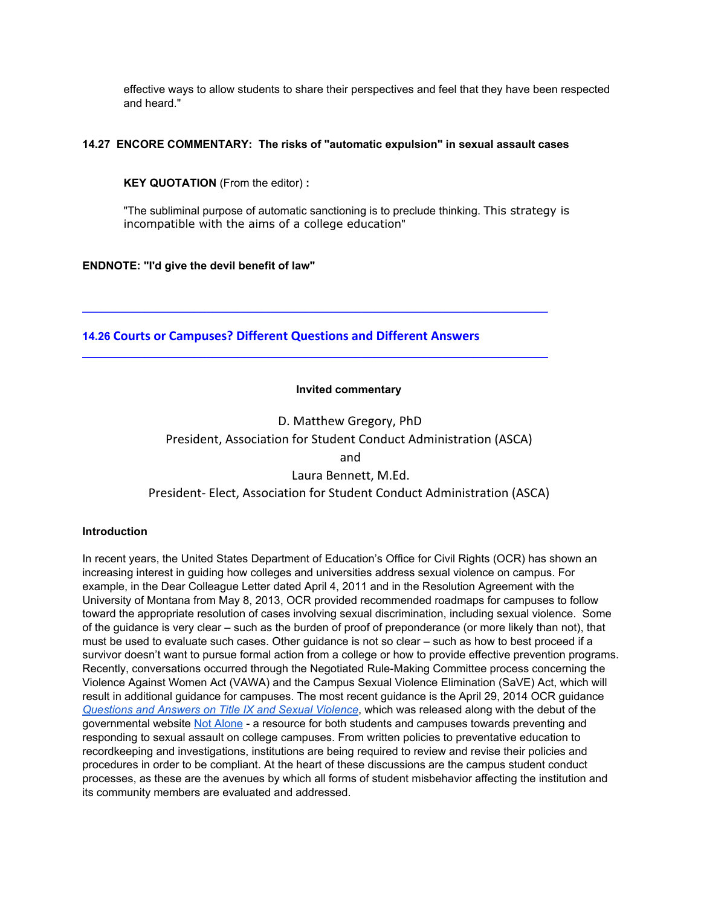effective ways to allow students to share their perspectives and feel that they have been respected and heard."

## **14.27 ENCORE COMMENTARY: The risks of "automatic expulsion" in sexual assault cases**

**KEY QUOTATION** (From the editor) **:**

"The subliminal purpose of automatic sanctioning is to preclude thinking. This strategy is incompatible with the aims of a college education"

# **ENDNOTE: "I'd give the devil benefit of law"**

**14.26 Courts or Campuses? Different Questions and Different Answers**

**\_\_\_\_\_\_\_\_\_\_\_\_\_\_\_\_\_\_\_\_\_\_\_\_\_\_\_\_\_\_\_\_\_\_\_\_\_\_\_\_\_\_\_\_\_\_\_\_\_\_\_\_\_\_\_\_\_\_\_\_\_\_\_\_\_\_\_\_\_\_\_\_\_\_\_**

**\_\_\_\_\_\_\_\_\_\_\_\_\_\_\_\_\_\_\_\_\_\_\_\_\_\_\_\_\_\_\_\_\_\_\_\_\_\_\_\_\_\_\_\_\_\_\_\_\_\_\_\_\_\_\_\_\_\_\_\_\_\_\_\_\_\_\_\_\_\_\_\_\_\_\_**

# **Invited commentary**

D. Matthew Gregory, PhD President, Association for Student Conduct Administration (ASCA) and Laura Bennett, M.Ed. President- Elect, Association for Student Conduct Administration (ASCA)

### **Introduction**

In recent years, the United States Department of Education's Office for Civil Rights (OCR) has shown an increasing interest in guiding how colleges and universities address sexual violence on campus. For example, in the Dear Colleague Letter dated April 4, 2011 and in the Resolution Agreement with the University of Montana from May 8, 2013, OCR provided recommended roadmaps for campuses to follow toward the appropriate resolution of cases involving sexual discrimination, including sexual violence. Some of the guidance is very clear – such as the burden of proof of preponderance (or more likely than not), that must be used to evaluate such cases. Other guidance is not so clear – such as how to best proceed if a survivor doesn't want to pursue formal action from a college or how to provide effective prevention programs. Recently, conversations occurred through the Negotiated Rule-Making Committee process concerning the Violence Against Women Act (VAWA) and the Campus Sexual Violence Elimination (SaVE) Act, which will result in additional guidance for campuses. The most recent guidance is the April 29, 2014 OCR guidance *[Questions](http://www.google.com/url?q=http%3A%2F%2Fwww2.ed.gov%2Fabout%2Foffices%2Flist%2Focr%2Fdocs%2Fqa-201404-title-ix.pdf&sa=D&sntz=1&usg=AFQjCNGIUfWyIW1c5bcnv49wiSJRIkD9tw) and Answers on Title IX and Sexual Violence*, which was released along with the debut of the governmental website Not [Alone](https://www.google.com/url?q=https%3A%2F%2Fwww.notalone.gov%2F&sa=D&sntz=1&usg=AFQjCNEfZk3zy4kKwiI-ebjYhuKxfJ2o1A) - a resource for both students and campuses towards preventing and responding to sexual assault on college campuses. From written policies to preventative education to recordkeeping and investigations, institutions are being required to review and revise their policies and procedures in order to be compliant. At the heart of these discussions are the campus student conduct processes, as these are the avenues by which all forms of student misbehavior affecting the institution and its community members are evaluated and addressed.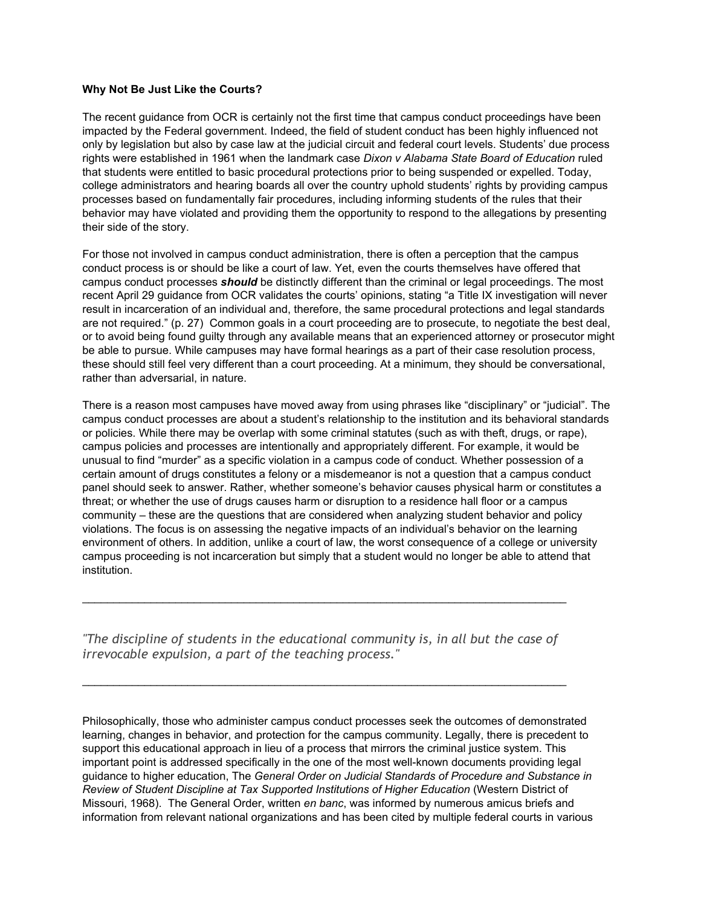#### **Why Not Be Just Like the Courts?**

The recent guidance from OCR is certainly not the first time that campus conduct proceedings have been impacted by the Federal government. Indeed, the field of student conduct has been highly influenced not only by legislation but also by case law at the judicial circuit and federal court levels. Students' due process rights were established in 1961 when the landmark case *Dixon v Alabama State Board of Education* ruled that students were entitled to basic procedural protections prior to being suspended or expelled. Today, college administrators and hearing boards all over the country uphold students' rights by providing campus processes based on fundamentally fair procedures, including informing students of the rules that their behavior may have violated and providing them the opportunity to respond to the allegations by presenting their side of the story.

For those not involved in campus conduct administration, there is often a perception that the campus conduct process is or should be like a court of law. Yet, even the courts themselves have offered that campus conduct processes *should* be distinctly different than the criminal or legal proceedings. The most recent April 29 guidance from OCR validates the courts' opinions, stating "a Title IX investigation will never result in incarceration of an individual and, therefore, the same procedural protections and legal standards are not required." (p. 27) Common goals in a court proceeding are to prosecute, to negotiate the best deal, or to avoid being found guilty through any available means that an experienced attorney or prosecutor might be able to pursue. While campuses may have formal hearings as a part of their case resolution process, these should still feel very different than a court proceeding. At a minimum, they should be conversational, rather than adversarial, in nature.

There is a reason most campuses have moved away from using phrases like "disciplinary" or "judicial". The campus conduct processes are about a student's relationship to the institution and its behavioral standards or policies. While there may be overlap with some criminal statutes (such as with theft, drugs, or rape), campus policies and processes are intentionally and appropriately different. For example, it would be unusual to find "murder" as a specific violation in a campus code of conduct. Whether possession of a certain amount of drugs constitutes a felony or a misdemeanor is not a question that a campus conduct panel should seek to answer. Rather, whether someone's behavior causes physical harm or constitutes a threat; or whether the use of drugs causes harm or disruption to a residence hall floor or a campus community – these are the questions that are considered when analyzing student behavior and policy violations. The focus is on assessing the negative impacts of an individual's behavior on the learning environment of others. In addition, unlike a court of law, the worst consequence of a college or university campus proceeding is not incarceration but simply that a student would no longer be able to attend that institution.

*"The discipline of students in the educational community is, in all but the case of irrevocable expulsion, a part of the teaching process."*

 $\mathcal{L}_\mathcal{L} = \{ \mathcal{L}_\mathcal{L} = \{ \mathcal{L}_\mathcal{L} = \{ \mathcal{L}_\mathcal{L} = \{ \mathcal{L}_\mathcal{L} = \{ \mathcal{L}_\mathcal{L} = \{ \mathcal{L}_\mathcal{L} = \{ \mathcal{L}_\mathcal{L} = \{ \mathcal{L}_\mathcal{L} = \{ \mathcal{L}_\mathcal{L} = \{ \mathcal{L}_\mathcal{L} = \{ \mathcal{L}_\mathcal{L} = \{ \mathcal{L}_\mathcal{L} = \{ \mathcal{L}_\mathcal{L} = \{ \mathcal{L}_\mathcal{$ 

 $\mathcal{L}_\mathcal{L} = \{ \mathcal{L}_\mathcal{L} = \{ \mathcal{L}_\mathcal{L} = \{ \mathcal{L}_\mathcal{L} = \{ \mathcal{L}_\mathcal{L} = \{ \mathcal{L}_\mathcal{L} = \{ \mathcal{L}_\mathcal{L} = \{ \mathcal{L}_\mathcal{L} = \{ \mathcal{L}_\mathcal{L} = \{ \mathcal{L}_\mathcal{L} = \{ \mathcal{L}_\mathcal{L} = \{ \mathcal{L}_\mathcal{L} = \{ \mathcal{L}_\mathcal{L} = \{ \mathcal{L}_\mathcal{L} = \{ \mathcal{L}_\mathcal{$ 

Philosophically, those who administer campus conduct processes seek the outcomes of demonstrated learning, changes in behavior, and protection for the campus community. Legally, there is precedent to support this educational approach in lieu of a process that mirrors the criminal justice system. This important point is addressed specifically in the one of the most well-known documents providing legal guidance to higher education, The *General Order on Judicial Standards of Procedure and Substance in Review of Student Discipline at Tax Supported Institutions of Higher Education* (Western District of Missouri, 1968). The General Order, written *en banc*, was informed by numerous amicus briefs and information from relevant national organizations and has been cited by multiple federal courts in various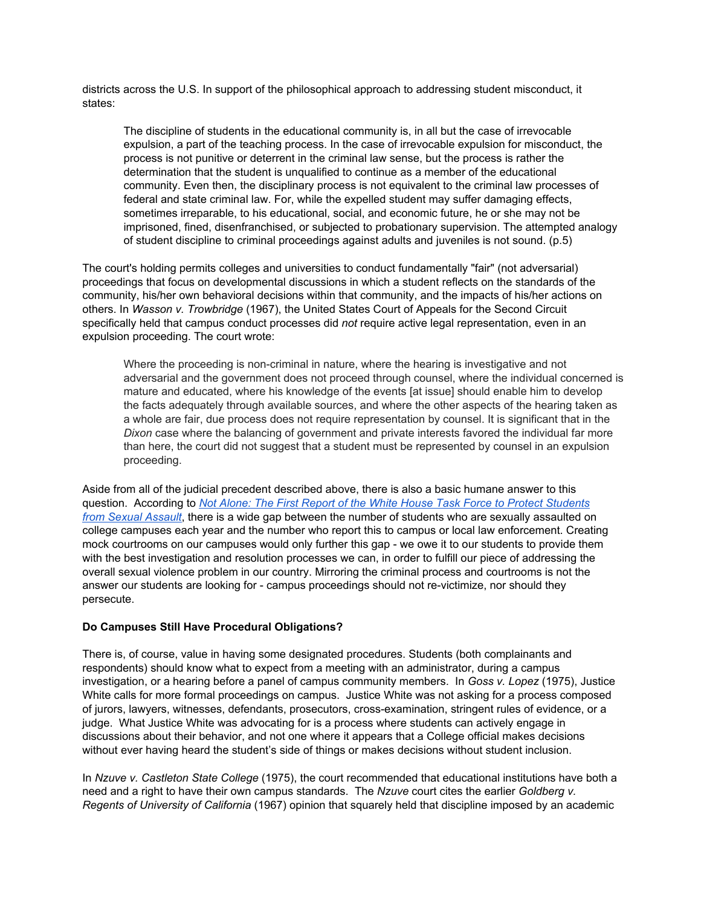districts across the U.S. In support of the philosophical approach to addressing student misconduct, it states:

The discipline of students in the educational community is, in all but the case of irrevocable expulsion, a part of the teaching process. In the case of irrevocable expulsion for misconduct, the process is not punitive or deterrent in the criminal law sense, but the process is rather the determination that the student is unqualified to continue as a member of the educational community. Even then, the disciplinary process is not equivalent to the criminal law processes of federal and state criminal law. For, while the expelled student may suffer damaging effects, sometimes irreparable, to his educational, social, and economic future, he or she may not be imprisoned, fined, disenfranchised, or subjected to probationary supervision. The attempted analogy of student discipline to criminal proceedings against adults and juveniles is not sound. (p.5)

The court's holding permits colleges and universities to conduct fundamentally "fair" (not adversarial) proceedings that focus on developmental discussions in which a student reflects on the standards of the community, his/her own behavioral decisions within that community, and the impacts of his/her actions on others. In *Wasson v. Trowbridge* (1967), the United States Court of Appeals for the Second Circuit specifically held that campus conduct processes did *not* require active legal representation, even in an expulsion proceeding. The court wrote:

Where the proceeding is non-criminal in nature, where the hearing is investigative and not adversarial and the government does not proceed through counsel, where the individual concerned is mature and educated, where his knowledge of the events [at issue] should enable him to develop the facts adequately through available sources, and where the other aspects of the hearing taken as a whole are fair, due process does not require representation by counsel. It is significant that in the *Dixon* case where the balancing of government and private interests favored the individual far more than here, the court did not suggest that a student must be represented by counsel in an expulsion proceeding.

Aside from all of the judicial precedent described above, there is also a basic humane answer to this question. According to *Not Alone: The First Report of the White House Task Force to Protect [Students](http://www.google.com/url?q=http%3A%2F%2Fwww.whitehouse.gov%2Fsites%2Fdefault%2Ffiles%2Fdocs%2Freport_0.pdf&sa=D&sntz=1&usg=AFQjCNErhNLsaw_HVomtumtFaxB_L0Mjgg) from Sexual [Assault](http://www.google.com/url?q=http%3A%2F%2Fwww.whitehouse.gov%2Fsites%2Fdefault%2Ffiles%2Fdocs%2Freport_0.pdf&sa=D&sntz=1&usg=AFQjCNErhNLsaw_HVomtumtFaxB_L0Mjgg)*, there is a wide gap between the number of students who are sexually assaulted on college campuses each year and the number who report this to campus or local law enforcement. Creating mock courtrooms on our campuses would only further this gap - we owe it to our students to provide them with the best investigation and resolution processes we can, in order to fulfill our piece of addressing the overall sexual violence problem in our country. Mirroring the criminal process and courtrooms is not the answer our students are looking for - campus proceedings should not re-victimize, nor should they persecute.

### **Do Campuses Still Have Procedural Obligations?**

There is, of course, value in having some designated procedures. Students (both complainants and respondents) should know what to expect from a meeting with an administrator, during a campus investigation, or a hearing before a panel of campus community members. In *Goss v. Lopez* (1975), Justice White calls for more formal proceedings on campus. Justice White was not asking for a process composed of jurors, lawyers, witnesses, defendants, prosecutors, crossexamination, stringent rules of evidence, or a judge. What Justice White was advocating for is a process where students can actively engage in discussions about their behavior, and not one where it appears that a College official makes decisions without ever having heard the student's side of things or makes decisions without student inclusion.

In *Nzuve v. Castleton State College* (1975), the court recommended that educational institutions have both a need and a right to have their own campus standards. The *Nzuve* court cites the earlier *Goldberg v. Regents of University of California* (1967) opinion that squarely held that discipline imposed by an academic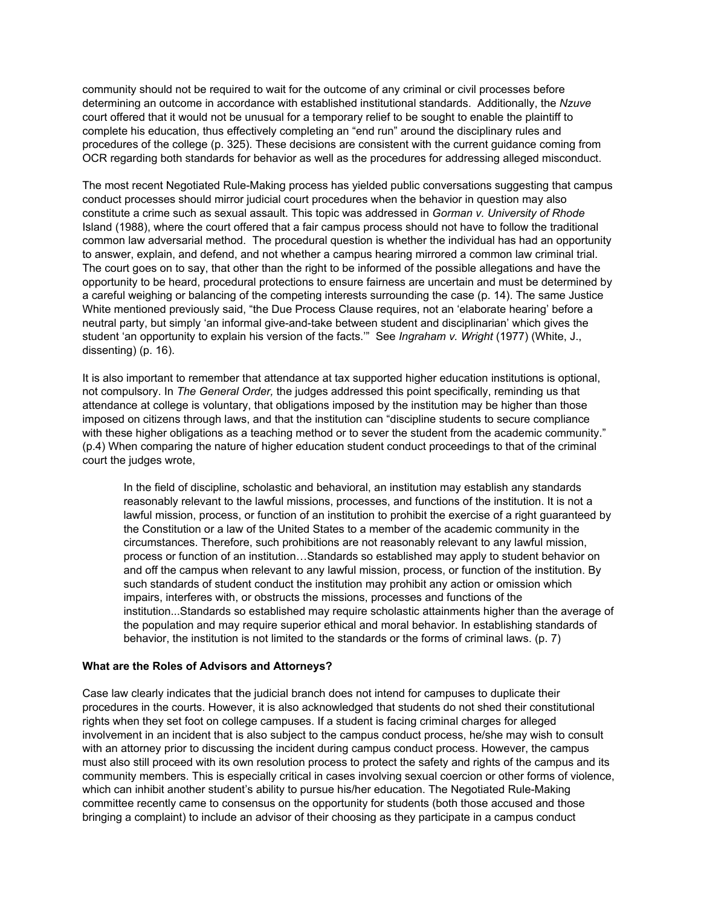community should not be required to wait for the outcome of any criminal or civil processes before determining an outcome in accordance with established institutional standards. Additionally, the *Nzuve* court offered that it would not be unusual for a temporary relief to be sought to enable the plaintiff to complete his education, thus effectively completing an "end run" around the disciplinary rules and procedures of the college (p. 325). These decisions are consistent with the current guidance coming from OCR regarding both standards for behavior as well as the procedures for addressing alleged misconduct.

The most recent Negotiated Rule-Making process has yielded public conversations suggesting that campus conduct processes should mirror judicial court procedures when the behavior in question may also constitute a crime such as sexual assault. This topic was addressed in *Gorman v. University of Rhode* Island (1988), where the court offered that a fair campus process should not have to follow the traditional common law adversarial method. The procedural question is whether the individual has had an opportunity to answer, explain, and defend, and not whether a campus hearing mirrored a common law criminal trial. The court goes on to say, that other than the right to be informed of the possible allegations and have the opportunity to be heard, procedural protections to ensure fairness are uncertain and must be determined by a careful weighing or balancing of the competing interests surrounding the case (p. 14). The same Justice White mentioned previously said, "the Due Process Clause requires, not an 'elaborate hearing' before a neutral party, but simply 'an informal give-and-take between student and disciplinarian' which gives the student 'an opportunity to explain his version of the facts.'" See *Ingraham v. Wright* (1977) (White, J., dissenting) (p. 16).

It is also important to remember that attendance at tax supported higher education institutions is optional, not compulsory. In *The General Order,* the judges addressed this point specifically, reminding us that attendance at college is voluntary, that obligations imposed by the institution may be higher than those imposed on citizens through laws, and that the institution can "discipline students to secure compliance with these higher obligations as a teaching method or to sever the student from the academic community." (p.4) When comparing the nature of higher education student conduct proceedings to that of the criminal court the judges wrote,

In the field of discipline, scholastic and behavioral, an institution may establish any standards reasonably relevant to the lawful missions, processes, and functions of the institution. It is not a lawful mission, process, or function of an institution to prohibit the exercise of a right guaranteed by the Constitution or a law of the United States to a member of the academic community in the circumstances. Therefore, such prohibitions are not reasonably relevant to any lawful mission, process or function of an institution…Standards so established may apply to student behavior on and off the campus when relevant to any lawful mission, process, or function of the institution. By such standards of student conduct the institution may prohibit any action or omission which impairs, interferes with, or obstructs the missions, processes and functions of the institution...Standards so established may require scholastic attainments higher than the average of the population and may require superior ethical and moral behavior. In establishing standards of behavior, the institution is not limited to the standards or the forms of criminal laws. (p. 7)

#### **What are the Roles of Advisors and Attorneys?**

Case law clearly indicates that the judicial branch does not intend for campuses to duplicate their procedures in the courts. However, it is also acknowledged that students do not shed their constitutional rights when they set foot on college campuses. If a student is facing criminal charges for alleged involvement in an incident that is also subject to the campus conduct process, he/she may wish to consult with an attorney prior to discussing the incident during campus conduct process. However, the campus must also still proceed with its own resolution process to protect the safety and rights of the campus and its community members. This is especially critical in cases involving sexual coercion or other forms of violence, which can inhibit another student's ability to pursue his/her education. The Negotiated Rule-Making committee recently came to consensus on the opportunity for students (both those accused and those bringing a complaint) to include an advisor of their choosing as they participate in a campus conduct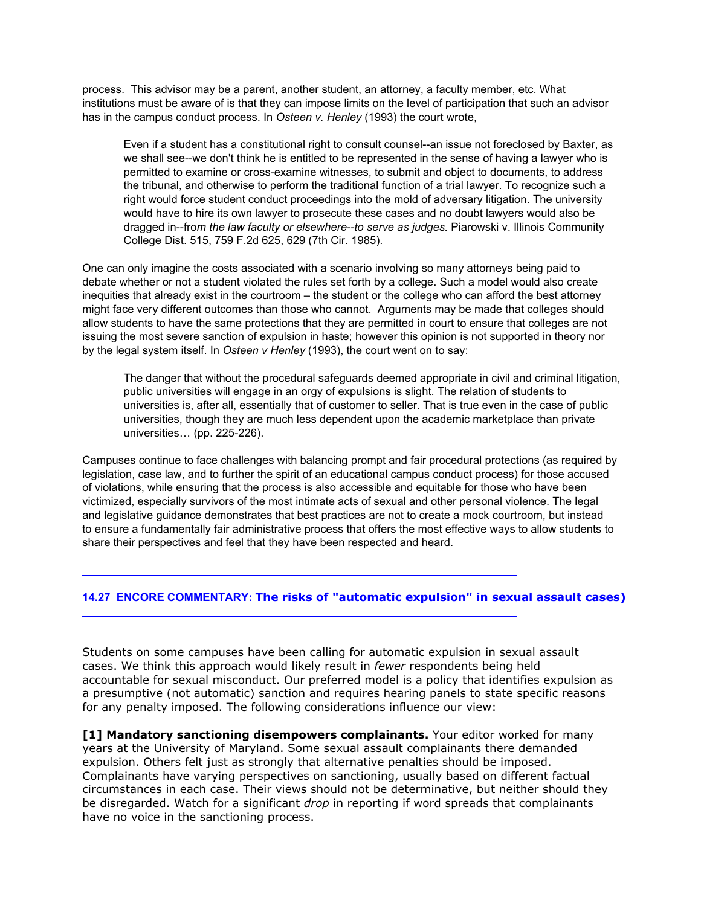process. This advisor may be a parent, another student, an attorney, a faculty member, etc. What institutions must be aware of is that they can impose limits on the level of participation that such an advisor has in the campus conduct process. In *Osteen v. Henley* (1993) the court wrote,

Even if a student has a constitutional right to consult counsel--an issue not foreclosed by Baxter, as we shall see--we don't think he is entitled to be represented in the sense of having a lawyer who is permitted to examine or cross-examine witnesses, to submit and object to documents, to address the tribunal, and otherwise to perform the traditional function of a trial lawyer. To recognize such a right would force student conduct proceedings into the mold of adversary litigation. The university would have to hire its own lawyer to prosecute these cases and no doubt lawyers would also be dragged in--from *the law faculty or elsewhere--to serve as judges.* Piarowski v. Illinois Community College Dist. 515, 759 F.2d 625, 629 (7th Cir. 1985).

One can only imagine the costs associated with a scenario involving so many attorneys being paid to debate whether or not a student violated the rules set forth by a college. Such a model would also create inequities that already exist in the courtroom – the student or the college who can afford the best attorney might face very different outcomes than those who cannot. Arguments may be made that colleges should allow students to have the same protections that they are permitted in court to ensure that colleges are not issuing the most severe sanction of expulsion in haste; however this opinion is not supported in theory nor by the legal system itself. In *Osteen v Henley* (1993), the court went on to say:

The danger that without the procedural safeguards deemed appropriate in civil and criminal litigation, public universities will engage in an orgy of expulsions is slight. The relation of students to universities is, after all, essentially that of customer to seller. That is true even in the case of public universities, though they are much less dependent upon the academic marketplace than private universities... (pp. 225-226).

Campuses continue to face challenges with balancing prompt and fair procedural protections (as required by legislation, case law, and to further the spirit of an educational campus conduct process) for those accused of violations, while ensuring that the process is also accessible and equitable for those who have been victimized, especially survivors of the most intimate acts of sexual and other personal violence. The legal and legislative guidance demonstrates that best practices are not to create a mock courtroom, but instead to ensure a fundamentally fair administrative process that offers the most effective ways to allow students to share their perspectives and feel that they have been respected and heard.

# **14.27 ENCORE COMMENTARY: The risks of "automatic expulsion" in sexual assault cases)**

**\_\_\_\_\_\_\_\_\_\_\_\_\_\_\_\_\_\_\_\_\_\_\_\_\_\_\_\_\_\_\_\_\_\_\_\_\_\_\_\_\_\_\_\_\_\_\_\_\_\_\_\_\_\_\_\_\_\_\_\_\_\_\_\_\_\_\_\_\_\_**

**\_\_\_\_\_\_\_\_\_\_\_\_\_\_\_\_\_\_\_\_\_\_\_\_\_\_\_\_\_\_\_\_\_\_\_\_\_\_\_\_\_\_\_\_\_\_\_\_\_\_\_\_\_\_\_\_\_\_\_\_\_\_\_\_\_\_\_\_\_\_**

Students on some campuses have been calling for automatic expulsion in sexual assault cases. We think this approach would likely result in *fewer* respondents being held accountable for sexual misconduct. Our preferred model is a policy that identifies expulsion as a presumptive (not automatic) sanction and requires hearing panels to state specific reasons for any penalty imposed. The following considerations influence our view:

**[1] Mandatory sanctioning disempowers complainants.** Your editor worked for many years at the University of Maryland. Some sexual assault complainants there demanded expulsion. Others felt just as strongly that alternative penalties should be imposed. Complainants have varying perspectives on sanctioning, usually based on different factual circumstances in each case. Their views should not be determinative, but neither should they be disregarded. Watch for a significant *drop* in reporting if word spreads that complainants have no voice in the sanctioning process.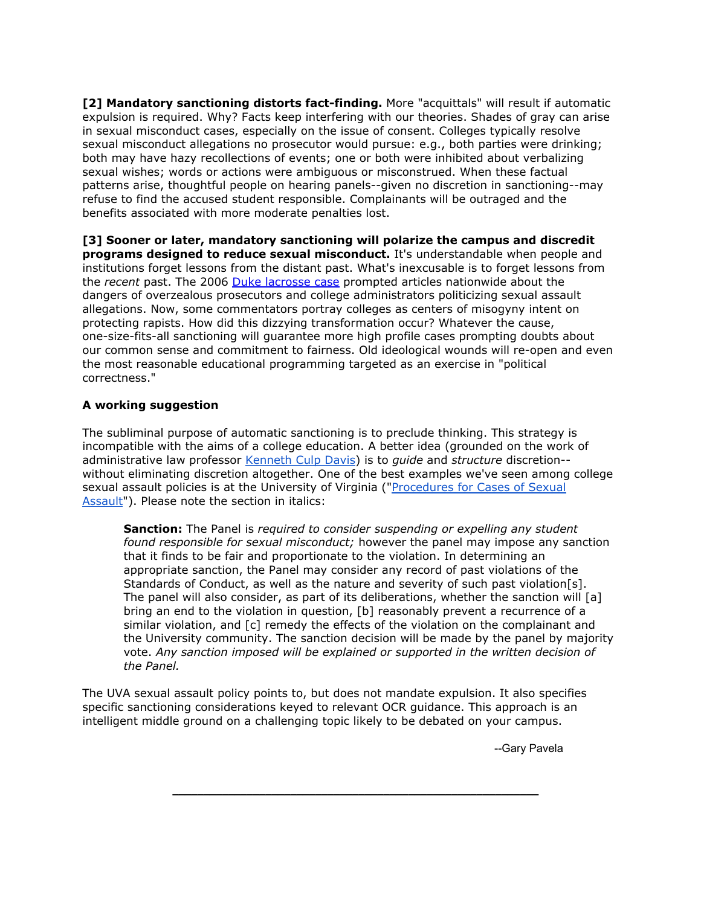**[2] Mandatory sanctioning distorts fact-finding.** More "acquittals" will result if automatic expulsion is required. Why? Facts keep interfering with our theories. Shades of gray can arise in sexual misconduct cases, especially on the issue of consent. Colleges typically resolve sexual misconduct allegations no prosecutor would pursue: e.g., both parties were drinking; both may have hazy recollections of events; one or both were inhibited about verbalizing sexual wishes; words or actions were ambiguous or misconstrued. When these factual patterns arise, thoughtful people on hearing panels--given no discretion in sanctioning--may refuse to find the accused student responsible. Complainants will be outraged and the benefits associated with more moderate penalties lost.

**[3] Sooner or later, mandatory sanctioning will polarize the campus and discredit programs designed to reduce sexual misconduct.** It's understandable when people and institutions forget lessons from the distant past. What's inexcusable is to forget lessons from the *recent* past. The 2006 Duke [lacrosse](http://docs.google.com/Doc?docid=0Aaj24xYwfevnZGZkcHZ6cDlfNTkxajhyNmptZHE&hl=en) case prompted articles nationwide about the dangers of overzealous prosecutors and college administrators politicizing sexual assault allegations. Now, some commentators portray colleges as centers of misogyny intent on protecting rapists. How did this dizzying transformation occur? Whatever the cause, one-size-fits-all sanctioning will guarantee more high profile cases prompting doubts about our common sense and commitment to fairness. Old ideological wounds will re-open and even the most reasonable educational programming targeted as an exercise in "political correctness."

# **A working suggestion**

The subliminal purpose of automatic sanctioning is to preclude thinking. This strategy is incompatible with the aims of a college education. A better idea (grounded on the work of administrative law professor [Kenneth](http://www.google.com/url?q=http%3A%2F%2Fwww.boston.com%2Fnews%2Fglobe%2Fobituaries%2Farticles%2F2003%2F09%2F24%2Fkenneth_culp_davis_at_94_administrative_law_expert%2F&sa=D&sntz=1&usg=AFQjCNFcOQuJFmlLBK-jjMIXUjeWkoAjjA) Culp Davis) is to *guide* and *structure* discretion- without eliminating discretion altogether. One of the best examples we've seen among college sexual assault policies is at the University of Virginia (["Procedures](http://www.google.com/url?q=http%3A%2F%2Fwww.virginia.edu%2Fsexualviolence%2Fdocuments%2Fsexual_misconduct_policy070811.pdf&sa=D&sntz=1&usg=AFQjCNEDCAaRMOXkbR5S88qKYXEvIPRAfw) for Cases of Sexual [Assault"](http://www.google.com/url?q=http%3A%2F%2Fwww.virginia.edu%2Fsexualviolence%2Fdocuments%2Fsexual_misconduct_policy070811.pdf&sa=D&sntz=1&usg=AFQjCNEDCAaRMOXkbR5S88qKYXEvIPRAfw)). Please note the section in italics:

**Sanction:** The Panel is *required to consider suspending or expelling any student found responsible for sexual misconduct;* however the panel may impose any sanction that it finds to be fair and proportionate to the violation. In determining an appropriate sanction, the Panel may consider any record of past violations of the Standards of Conduct, as well as the nature and severity of such past violation[s]. The panel will also consider, as part of its deliberations, whether the sanction will [a] bring an end to the violation in question, [b] reasonably prevent a recurrence of a similar violation, and [c] remedy the effects of the violation on the complainant and the University community. The sanction decision will be made by the panel by majority vote. *Any sanction imposed will be explained or supported in the written decision of the Panel.*

The UVA sexual assault policy points to, but does not mandate expulsion. It also specifies specific sanctioning considerations keyed to relevant OCR guidance. This approach is an intelligent middle ground on a challenging topic likely to be debated on your campus.

**\_\_\_\_\_\_\_\_\_\_\_\_\_\_\_\_\_\_\_\_\_\_\_\_\_\_\_\_\_\_\_\_\_\_\_\_\_\_\_\_\_\_\_\_\_\_\_\_\_\_\_\_\_\_\_\_\_\_\_**

--Gary Pavela